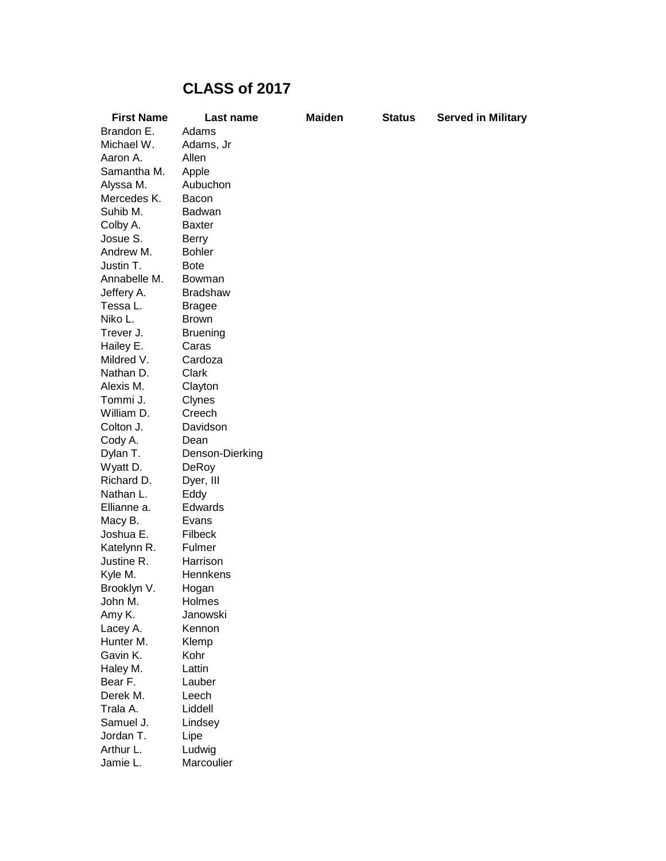## **CLASS of 2017**

| <b>First Name</b>     | Last name       | <b>Maiden</b> | <b>Status</b> | <b>Served in Military</b> |
|-----------------------|-----------------|---------------|---------------|---------------------------|
| Brandon E.            | Adams           |               |               |                           |
| Michael W.            | Adams, Jr       |               |               |                           |
| Aaron A.              | Allen           |               |               |                           |
| Samantha M.           | Apple           |               |               |                           |
| Alyssa M.             | Aubuchon        |               |               |                           |
| Mercedes K.           | Bacon           |               |               |                           |
| Suhib M.              | <b>Badwan</b>   |               |               |                           |
| Colby A.              | <b>Baxter</b>   |               |               |                           |
| Josue S.              | <b>Berry</b>    |               |               |                           |
| Andrew M.             | <b>Bohler</b>   |               |               |                           |
| Justin T.             | <b>Bote</b>     |               |               |                           |
| Annabelle M.          | Bowman          |               |               |                           |
| Jeffery A.            | <b>Bradshaw</b> |               |               |                           |
| Tessa L.              | <b>Bragee</b>   |               |               |                           |
| Niko L.               | <b>Brown</b>    |               |               |                           |
| Trever J.             | <b>Bruening</b> |               |               |                           |
| Hailey E.             | Caras           |               |               |                           |
| Mildred V.            | Cardoza         |               |               |                           |
| Nathan D.             | Clark           |               |               |                           |
| Alexis M.             | Clayton         |               |               |                           |
| Tommi J.              | Clynes          |               |               |                           |
| William D.            | Creech          |               |               |                           |
| Colton J.             | Davidson        |               |               |                           |
| Cody A.               | Dean            |               |               |                           |
| Dylan T.              | Denson-Dierking |               |               |                           |
| Wyatt D.              | DeRoy           |               |               |                           |
| Richard D.            | Dyer, III       |               |               |                           |
| Nathan L.             | Eddy            |               |               |                           |
| Ellianne a.           | Edwards         |               |               |                           |
| Macy B.               | Evans           |               |               |                           |
| Joshua E.             | Filbeck         |               |               |                           |
| Katelynn R.           | Fulmer          |               |               |                           |
| Justine R.            | Harrison        |               |               |                           |
| Kyle M.               | Hennkens        |               |               |                           |
| Brooklyn V.           | Hogan           |               |               |                           |
| John M.               | Holmes          |               |               |                           |
| Amy K.                | Janowski        |               |               |                           |
| Lacey A.              | Kennon          |               |               |                           |
| Hunter M.<br>Gavin K. | Klemp<br>Kohr   |               |               |                           |
| Haley M.              | Lattin          |               |               |                           |
| Bear F.               | Lauber          |               |               |                           |
| Derek M.              | Leech           |               |               |                           |
| Trala A.              | Liddell         |               |               |                           |
| Samuel J.             | Lindsey         |               |               |                           |
| Jordan T.             | Lipe            |               |               |                           |
| Arthur L.             | Ludwig          |               |               |                           |
| Jamie L.              | Marcoulier      |               |               |                           |
|                       |                 |               |               |                           |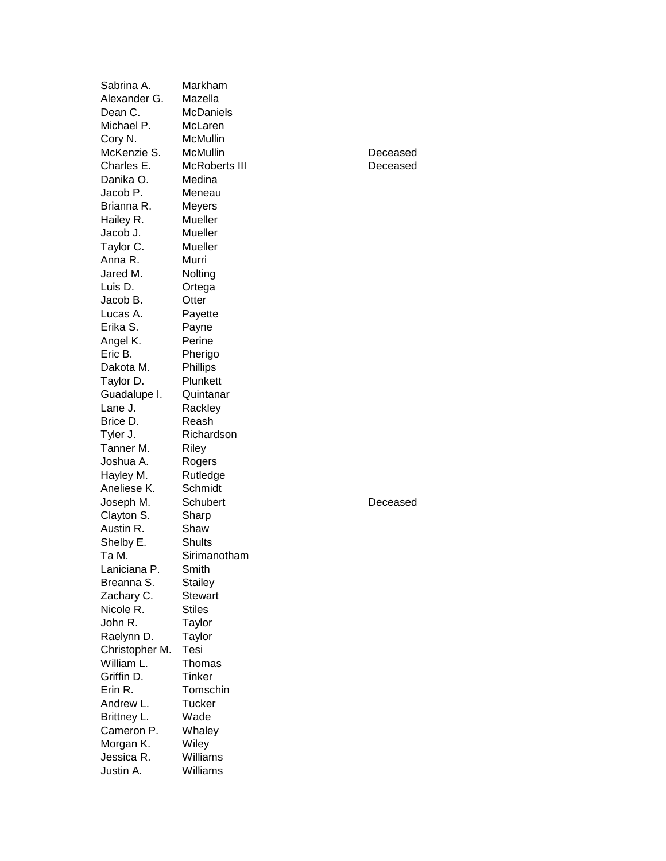| Sabrina A.              | Markham          |          |
|-------------------------|------------------|----------|
| Alexander G.            | Mazella          |          |
| Dean C.                 | <b>McDaniels</b> |          |
| Michael P.              | McLaren          |          |
| Cory N.                 | McMullin         |          |
| McKenzie S.             | McMullin         | Deceased |
| Charles E.              | McRoberts III    | Deceased |
| Danika O.               | Medina           |          |
| Jacob P.                | Meneau           |          |
| Brianna R.              | Meyers           |          |
| Hailey R.               | Mueller          |          |
| Jacob J.                | Mueller          |          |
| Taylor C.               | Mueller          |          |
| Anna R.                 | Murri            |          |
| Jared M.                | Nolting          |          |
| Luis D.                 | Ortega           |          |
| Jacob B.                | Otter            |          |
| Lucas A.                | Payette          |          |
| Erika S.                | Payne            |          |
| Angel K.                | Perine           |          |
| Eric B.                 | Pherigo          |          |
| Dakota M.               | <b>Phillips</b>  |          |
| Taylor D.               | Plunkett         |          |
|                         | Quintanar        |          |
| Guadalupe I.<br>Lane J. |                  |          |
|                         | Rackley          |          |
| Brice D.                | Reash            |          |
| Tyler J.                | Richardson       |          |
| Tanner M.               | <b>Riley</b>     |          |
| Joshua A.               | Rogers           |          |
| Hayley M.               | Rutledge         |          |
| Aneliese K.             | Schmidt          |          |
| Joseph M.               | Schubert         | Deceased |
| Clayton S.              | Sharp            |          |
| Austin R.               | Shaw             |          |
| Shelby E.               | <b>Shults</b>    |          |
| Ta M.                   | Sirimanotham     |          |
| Laniciana P.            | Smith            |          |
| Breanna S.              | Stailey          |          |
| Zachary C.              | <b>Stewart</b>   |          |
| Nicole R.               | <b>Stiles</b>    |          |
| John R.                 | Taylor           |          |
| Raelynn D.              | Taylor           |          |
| Christopher M.          | Tesi             |          |
| William L.              | Thomas           |          |
| Griffin D.              | <b>Tinker</b>    |          |
| Erin R.                 | Tomschin         |          |
| Andrew L.               | Tucker           |          |
| Brittney L.             | Wade             |          |
| Cameron P.              | Whaley           |          |
| Morgan K.               | Wiley            |          |
| Jessica R.              | Williams         |          |
| Justin A.               | Williams         |          |
|                         |                  |          |

| Deceased |
|----------|
| Deceased |
|          |

## Deceased